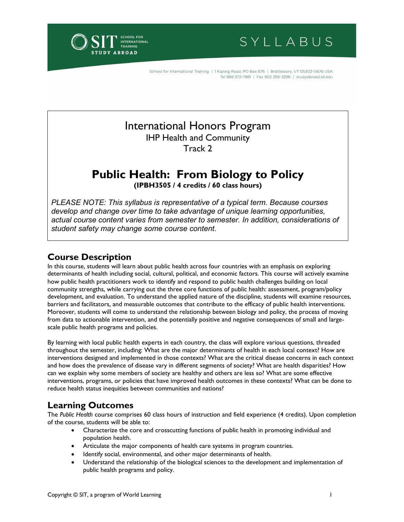INTERNATIONAL **RAINING ABROAD** 

SYLLABUS

School for International Training | 1 Kipling Road, PO Box 676 | Brattleboro, VT 05302-0676 USA Tel 888 272-7881 | Fax 802 258-3296 | studyabroad.sit.edu

# International Honors Program IHP Health and Community Track 2

# **Public Health: From Biology to Policy**

**(IPBH3505 / 4 credits / 60 class hours)** 

*PLEASE NOTE: This syllabus is representative of a typical term. Because courses develop and change over time to take advantage of unique learning opportunities, actual course content varies from semester to semester. In addition, considerations of student safety may change some course content.*

# **Course Description**

In this course, students will learn about public health across four countries with an emphasis on exploring determinants of health including social, cultural, political, and economic factors. This course will actively examine how public health practitioners work to identify and respond to public health challenges building on local community strengths, while carrying out the three core functions of public health: assessment, program/policy development, and evaluation. To understand the applied nature of the discipline, students will examine resources, barriers and facilitators, and measurable outcomes that contribute to the efficacy of public health interventions. Moreover, students will come to understand the relationship between biology and policy, the process of moving from data to actionable intervention, and the potentially positive and negative consequences of small and largescale public health programs and policies.

By learning with local public health experts in each country, the class will explore various questions, threaded throughout the semester, including: What are the major determinants of health in each local context? How are interventions designed and implemented in those contexts? What are the critical disease concerns in each context and how does the prevalence of disease vary in different segments of society? What are health disparities? How can we explain why some members of society are healthy and others are less so? What are some effective interventions, programs, or policies that have improved health outcomes in these contexts? What can be done to reduce health status inequities between communities and nations?

# **Learning Outcomes**

The *Public Health* course comprises 60 class hours of instruction and field experience (4 credits). Upon completion of the course, students will be able to:

- Characterize the core and crosscutting functions of public health in promoting individual and population health.
- Articulate the major components of health care systems in program countries.
- Identify social, environmental, and other major determinants of health.
- Understand the relationship of the biological sciences to the development and implementation of public health programs and policy.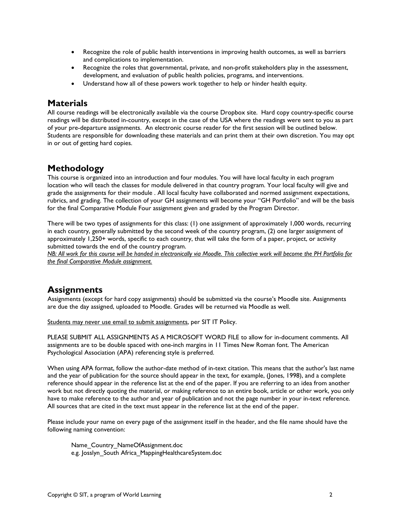- Recognize the role of public health interventions in improving health outcomes, as well as barriers and complications to implementation.
- Recognize the roles that governmental, private, and non-profit stakeholders play in the assessment, development, and evaluation of public health policies, programs, and interventions.
- Understand how all of these powers work together to help or hinder health equity.

# **Materials**

All course readings will be electronically available via the course Dropbox site. Hard copy country-specific course readings will be distributed in-country, except in the case of the USA where the readings were sent to you as part of your pre-departure assignments. An electronic course reader for the first session will be outlined below. Students are responsible for downloading these materials and can print them at their own discretion. You may opt in or out of getting hard copies.

# **Methodology**

This course is organized into an introduction and four modules. You will have local faculty in each program location who will teach the classes for module delivered in that country program. Your local faculty will give and grade the assignments for their module . All local faculty have collaborated and normed assignment expectations, rubrics, and grading. The collection of your GH assignments will become your "GH Portfolio" and will be the basis for the final Comparative Module Four assignment given and graded by the Program Director.

There will be two types of assignments for this class: (1) one assignment of approximately 1,000 words, recurring in each country, generally submitted by the second week of the country program, (2) one larger assignment of approximately 1,250+ words, specific to each country, that will take the form of a paper, project, or activity submitted towards the end of the country program.

*NB: All work for this course will be handed in electronically via Moodle. This collective work will become the PH Portfolio for the final Comparative Module assignment.*

# **Assignments**

Assignments (except for hard copy assignments) should be submitted via the course's Moodle site. Assignments are due the day assigned, uploaded to Moodle. Grades will be returned via Moodle as well.

Students may never use email to submit assignments, per SIT IT Policy.

PLEASE SUBMIT ALL ASSIGNMENTS AS A MICROSOFT WORD FILE to allow for in-document comments. All assignments are to be double spaced with one-inch margins in 11 Times New Roman font. The American Psychological Association (APA) referencing style is preferred.

When using APA format, follow the author-date method of in-text citation. This means that the author's last name and the year of publication for the source should appear in the text, for example, (Jones, 1998), and a complete reference should appear in the reference list at the end of the paper. If you are referring to an idea from another work but not directly quoting the material, or making reference to an entire book, article or other work, you only have to make reference to the author and year of publication and not the page number in your in-text reference. All sources that are cited in the text must appear in the reference list at the end of the paper.

Please include your name on every page of the assignment itself in the header, and the file name should have the following naming convention:

Name\_Country\_NameOfAssignment.doc e.g. Josslyn\_South Africa\_MappingHealthcareSystem.doc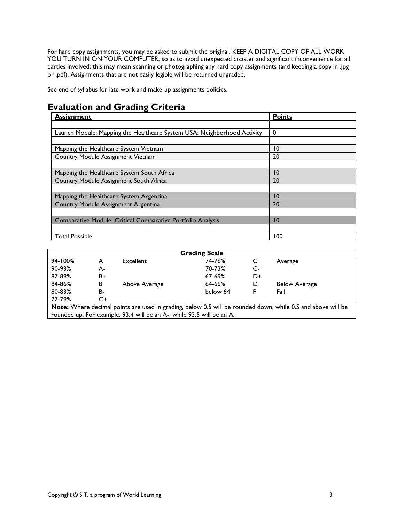For hard copy assignments, you may be asked to submit the original. KEEP A DIGITAL COPY OF ALL WORK YOU TURN IN ON YOUR COMPUTER, so as to avoid unexpected disaster and significant inconvenience for all parties involved; this may mean scanning or photographing any hard copy assignments (and keeping a copy in .jpg or .pdf). Assignments that are not easily legible will be returned ungraded.

See end of syllabus for late work and make-up assignments policies.

# **Evaluation and Grading Criteria**

| <b>Assignment</b>                                                       | <b>Points</b>   |
|-------------------------------------------------------------------------|-----------------|
|                                                                         |                 |
| Launch Module: Mapping the Healthcare System USA; Neighborhood Activity | 0               |
|                                                                         |                 |
| Mapping the Healthcare System Vietnam                                   | $\overline{10}$ |
| Country Module Assignment Vietnam                                       | 20              |
|                                                                         |                 |
| Mapping the Healthcare System South Africa                              | 10              |
| Country Module Assignment South Africa                                  | 20              |
|                                                                         |                 |
| Mapping the Healthcare System Argentina                                 | $\overline{10}$ |
| Country Module Assignment Argentina                                     | 20              |
|                                                                         |                 |
| Comparative Module: Critical Comparative Portfolio Analysis             | $\overline{10}$ |
|                                                                         |                 |
| <b>Total Possible</b>                                                   | 100             |

| <b>Grading Scale</b>                                                                                        |                                                                       |               |          |      |                      |  |  |
|-------------------------------------------------------------------------------------------------------------|-----------------------------------------------------------------------|---------------|----------|------|----------------------|--|--|
| 94-100%                                                                                                     | А                                                                     | Excellent     | 74-76%   |      | Average              |  |  |
| 90-93%                                                                                                      | А-                                                                    |               | 70-73%   | $C-$ |                      |  |  |
| 87-89%                                                                                                      | B+                                                                    |               | 67-69%   | D+   |                      |  |  |
| 84-86%                                                                                                      | в                                                                     | Above Average | 64-66%   | D    | <b>Below Average</b> |  |  |
| 80-83%                                                                                                      | B-                                                                    |               | below 64 | F    | Fail                 |  |  |
| 77-79%                                                                                                      | C+                                                                    |               |          |      |                      |  |  |
| Note: Where decimal points are used in grading, below 0.5 will be rounded down, while 0.5 and above will be |                                                                       |               |          |      |                      |  |  |
|                                                                                                             | rounded up. For example, 93.4 will be an A-, while 93.5 will be an A. |               |          |      |                      |  |  |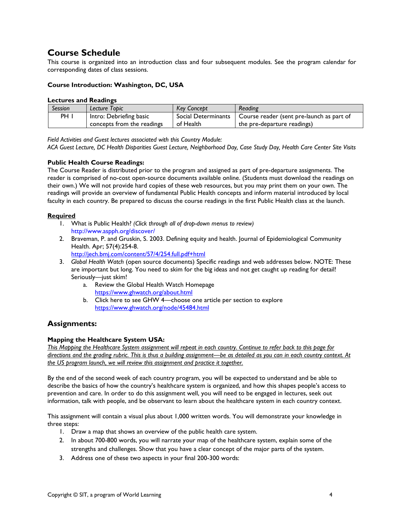# **Course Schedule**

This course is organized into an introduction class and four subsequent modules. See the program calendar for corresponding dates of class sessions.

# **Course Introduction: Washington, DC, USA**

#### **Lectures and Readings**

| <b>Session</b>  | Lecture Topic              | <b>Key Concept</b>  | Reading                                                |
|-----------------|----------------------------|---------------------|--------------------------------------------------------|
| PH <sub>1</sub> | Intro: Debriefing basic    | Social Determinants | <sup>1</sup> Course reader (sent pre-launch as part of |
|                 | concepts from the readings | of Health           | the pre-departure readings)                            |

*Field Activities and Guest lectures associated with this Country Module:* 

*ACA Guest Lecture, DC Health Disparities Guest Lecture, Neighborhood Day, Case Study Day, Health Care Center Site Visits*

# **Public Health Course Readings:**

The Course Reader is distributed prior to the program and assigned as part of pre-departure assignments. The reader is comprised of no-cost open-source documents available online. (Students must download the readings on their own.) We will not provide hard copies of these web resources, but you may print them on your own. The readings will provide an overview of fundamental Public Health concepts and inform material introduced by local faculty in each country. Be prepared to discuss the course readings in the first Public Health class at the launch.

## **Required**

- 1. What is Public Health? *(Click through all of drop-down menus to review)* <http://www.aspph.org/discover/>
- 2. Braveman, P. and Gruskin, S. 2003. Defining equity and health. Journal of Epidemiological Community Health. Apr; 57(4):254-8. <http://jech.bmj.com/content/57/4/254.full.pdf+html>
- 3. *Global Health Watch* (open source documents) Specific readings and web addresses below. NOTE: These are important but long. You need to skim for the big ideas and not get caught up reading for detail! Seriously—just skim!
	- a. Review the Global Health Watch Homepage <https://www.ghwatch.org/about.html>
	- b. Click here to see GHW 4—choose one article per section to explore <https://www.ghwatch.org/node/45484.html>

# **Assignments:**

## **Mapping the Healthcare System USA:**

*This Mapping the Healthcare System assignment will repeat in each country. Continue to refer back to this page for directions and the grading rubric. This is thus a building assignment—be as detailed as you can in each country context. At the US program launch, we will review this assignment and practice it together.*

By the end of the second week of each country program, you will be expected to understand and be able to describe the basics of how the country's healthcare system is organized, and how this shapes people's access to prevention and care. In order to do this assignment well, you will need to be engaged in lectures, seek out information, talk with people, and be observant to learn about the healthcare system in each country context.

This assignment will contain a visual plus about 1,000 written words. You will demonstrate your knowledge in three steps:

- 1. Draw a map that shows an overview of the public health care system.
- 2. In about 700-800 words, you will narrate your map of the healthcare system, explain some of the strengths and challenges. Show that you have a clear concept of the major parts of the system.
- 3. Address one of these two aspects in your final 200-300 words: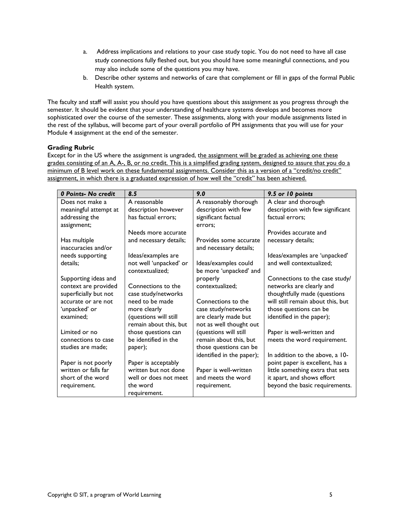- a. Address implications and relations to your case study topic. You do not need to have all case study connections fully fleshed out, but you should have some meaningful connections, and you may also include some of the questions you may have.
- b. Describe other systems and networks of care that complement or fill in gaps of the formal Public Health system.

The faculty and staff will assist you should you have questions about this assignment as you progress through the semester. It should be evident that your understanding of healthcare systems develops and becomes more sophisticated over the course of the semester. These assignments, along with your module assignments listed in the rest of the syllabus, will become part of your overall portfolio of PH assignments that you will use for your Module 4 assignment at the end of the semester.

# **Grading Rubric**

Except for in the US where the assignment is ungraded, the assignment will be graded as achieving one these grades consisting of an A, A-, B, or no credit. This is a simplified grading system, designed to assure that you do a minimum of B level work on these fundamental assignments. Consider this as a version of a "credit/no credit" assignment, in which there is a graduated expression of how well the "credit" has been achieved.

| 0 Points- No credit   | 8.5                    | 9.0                       | 9.5 or 10 points                  |
|-----------------------|------------------------|---------------------------|-----------------------------------|
| Does not make a       | A reasonable           | A reasonably thorough     | A clear and thorough              |
| meaningful attempt at | description however    | description with few      | description with few significant  |
| addressing the        | has factual errors;    | significant factual       | factual errors:                   |
| assignment;           |                        | errors:                   |                                   |
|                       | Needs more accurate    |                           | Provides accurate and             |
| Has multiple          | and necessary details; | Provides some accurate    | necessary details;                |
| inaccuracies and/or   |                        | and necessary details;    |                                   |
| needs supporting      | Ideas/examples are     |                           | Ideas/examples are 'unpacked'     |
| details:              | not well 'unpacked' or | Ideas/examples could      | and well contextualized:          |
|                       | contextualized:        | be more 'unpacked' and    |                                   |
| Supporting ideas and  |                        | properly                  | Connections to the case study/    |
| context are provided  | Connections to the     | contextualized;           | networks are clearly and          |
| superficially but not | case study/networks    |                           | thoughtfully made (questions      |
| accurate or are not   | need to be made        | Connections to the        | will still remain about this, but |
| 'unpacked' or         | more clearly           | case study/networks       | those questions can be            |
| examined:             | (questions will still  | are clearly made but      | identified in the paper);         |
|                       | remain about this, but | not as well thought out   |                                   |
| Limited or no         | those questions can    | (questions will still     | Paper is well-written and         |
| connections to case   | be identified in the   | remain about this, but    | meets the word requirement.       |
| studies are made;     | paper);                | those questions can be    |                                   |
|                       |                        | identified in the paper); | In addition to the above, a 10-   |
| Paper is not poorly   | Paper is acceptably    |                           | point paper is excellent, has a   |
| written or falls far  | written but not done   | Paper is well-written     | little something extra that sets  |
| short of the word     | well or does not meet  | and meets the word        | it apart, and shows effort        |
| requirement.          | the word               | requirement.              | beyond the basic requirements.    |
|                       | requirement.           |                           |                                   |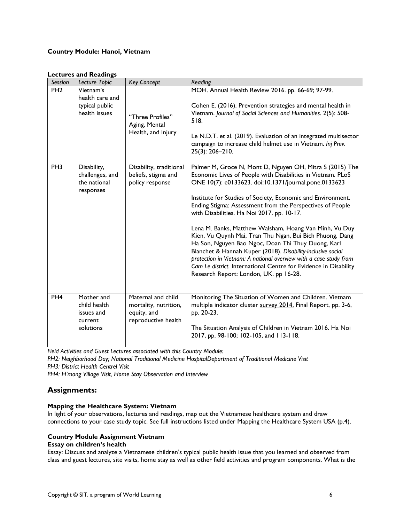# **Country Module: Hanoi, Vietnam**

| Session         | Lecture Topic                                                    | <b>Key Concept</b>                                                                | Reading                                                                                                                                                                                                                                                                                                                                                                                                                                                                                                                                                                                                                                                                                                                                                                                  |
|-----------------|------------------------------------------------------------------|-----------------------------------------------------------------------------------|------------------------------------------------------------------------------------------------------------------------------------------------------------------------------------------------------------------------------------------------------------------------------------------------------------------------------------------------------------------------------------------------------------------------------------------------------------------------------------------------------------------------------------------------------------------------------------------------------------------------------------------------------------------------------------------------------------------------------------------------------------------------------------------|
| PH <sub>2</sub> | Vietnam's<br>health care and<br>typical public<br>health issues  | "Three Profiles"<br>Aging, Mental<br>Health, and Injury                           | MOH. Annual Health Review 2016. pp. 66-69; 97-99.<br>Cohen E. (2016). Prevention strategies and mental health in<br>Vietnam. Journal of Social Sciences and Humanities. 2(5): 508-<br>518.<br>Le N.D.T. et al. (2019). Evaluation of an integrated multisector<br>campaign to increase child helmet use in Vietnam. Inj Prev.<br>$25(3)$ : 206-210.                                                                                                                                                                                                                                                                                                                                                                                                                                      |
| PH <sub>3</sub> | Disability,<br>challenges, and<br>the national<br>responses      | Disability, traditional<br>beliefs, stigma and<br>policy response                 | Palmer M, Groce N, Mont D, Nguyen OH, Mitra S (2015) The<br>Economic Lives of People with Disabilities in Vietnam. PLoS<br>ONE 10(7): e0133623. doi:10.1371/journal.pone.0133623<br>Institute for Studies of Society, Economic and Environment.<br>Ending Stigma: Assessment from the Perspectives of People<br>with Disabilities. Ha Noi 2017. pp. 10-17.<br>Lena M. Banks, Matthew Walsham, Hoang Van Minh, Vu Duy<br>Kien, Vu Quynh Mai, Tran Thu Ngan, Bui Bich Phuong, Dang<br>Ha Son, Nguyen Bao Ngoc, Doan Thi Thuy Duong, Karl<br>Blanchet & Hannah Kuper (2018). Disability-inclusive social<br>protection in Vietnam: A national overview with a case study from<br>Cam Le district. International Centre for Evidence in Disability<br>Research Report: London, UK. pp 16-28. |
| PH <sub>4</sub> | Mother and<br>child health<br>issues and<br>current<br>solutions | Maternal and child<br>mortality, nutrition,<br>equity, and<br>reproductive health | Monitoring The Situation of Women and Children. Vietnam<br>multiple indicator cluster survey 2014. Final Report, pp. 3-6,<br>pp. 20-23.<br>The Situation Analysis of Children in Vietnam 2016. Ha Noi<br>2017, pp. 98-100; 102-105, and 113-118.                                                                                                                                                                                                                                                                                                                                                                                                                                                                                                                                         |

#### **Lectures and Readings**

*Field Activities and Guest Lectures associated with this Country Module:* 

*PH2: Neighborhood Day; National Traditional Medicine HospitalDepartment of Traditional Medicine Visit PH3: District Health Centrel Visit*

*PH4: H'mong Village Visit, Home Stay Observation and Interview*

# **Assignments:**

# **Mapping the Healthcare System: Vietnam**

In light of your observations, lectures and readings, map out the Vietnamese healthcare system and draw connections to your case study topic. See full instructions listed under Mapping the Healthcare System USA (p.4).

# **Country Module Assignment Vietnam**

# **Essay on children's health**

Essay: Discuss and analyze a Vietnamese children's typical public health issue that you learned and observed from class and guest lectures, site visits, home stay as well as other field activities and program components. What is the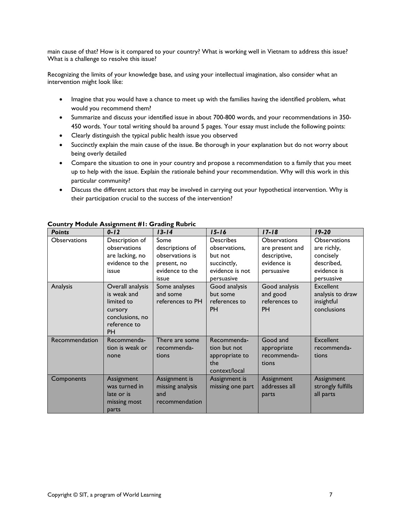main cause of that? How is it compared to your country? What is working well in Vietnam to address this issue? What is a challenge to resolve this issue?

Recognizing the limits of your knowledge base, and using your intellectual imagination, also consider what an intervention might look like:

- Imagine that you would have a chance to meet up with the families having the identified problem, what would you recommend them?
- Summarize and discuss your identified issue in about 700-800 words, and your recommendations in 350- 450 words. Your total writing should ba around 5 pages. Your essay must include the following points:
- Clearly distinguish the typical public health issue you observed
- Succinctly explain the main cause of the issue. Be thorough in your explanation but do not worry about being overly detailed
- Compare the situation to one in your country and propose a recommendation to a family that you meet up to help with the issue. Explain the rationale behind your recommendation. Why will this work in this particular community?
- Discuss the different actors that may be involved in carrying out your hypothetical intervention. Why is their participation crucial to the success of the intervention?

| <b>Points</b>  | $0 - 12$         | $13 - 14$        | $15 - 16$        | $17 - 18$           | $19 - 20$         |
|----------------|------------------|------------------|------------------|---------------------|-------------------|
| Observations   | Description of   | Some             | <b>Describes</b> | <b>Observations</b> | Observations      |
|                | observations     | descriptions of  | observations,    | are present and     | are richly,       |
|                | are lacking, no  | observations is  | but not          | descriptive,        | concisely         |
|                | evidence to the  | present, no      | succinctly,      | evidence is         | described,        |
|                | issue            | evidence to the  | evidence is not  | persuasive          | evidence is       |
|                |                  | issue            | persuasive       |                     | persuasive        |
| Analysis       | Overall analysis | Some analyses    | Good analysis    | Good analysis       | <b>Excellent</b>  |
|                | is weak and      | and some         | but some         | and good            | analysis to draw  |
|                | limited to       | references to PH | references to    | references to       | insightful        |
|                | cursory          |                  | <b>PH</b>        | <b>PH</b>           | conclusions       |
|                | conclusions, no  |                  |                  |                     |                   |
|                | reference to     |                  |                  |                     |                   |
|                | <b>PH</b>        |                  |                  |                     |                   |
| Recommendation | Recommenda-      | There are some   | Recommenda-      | Good and            | <b>Excellent</b>  |
|                | tion is weak or  | recommenda-      | tion but not     | appropriate         | recommenda-       |
|                | none             | tions            | appropriate to   | recommenda-         | tions             |
|                |                  |                  | the              | tions               |                   |
|                |                  |                  | context/local    |                     |                   |
| Components     | Assignment       | Assignment is    | Assignment is    | Assignment          | Assignment        |
|                | was turned in    | missing analysis | missing one part | addresses all       | strongly fulfills |
|                | late or is       | and              |                  | parts               | all parts         |
|                | missing most     | recommendation   |                  |                     |                   |
|                | parts            |                  |                  |                     |                   |

## **Country Module Assignment #1: Grading Rubric**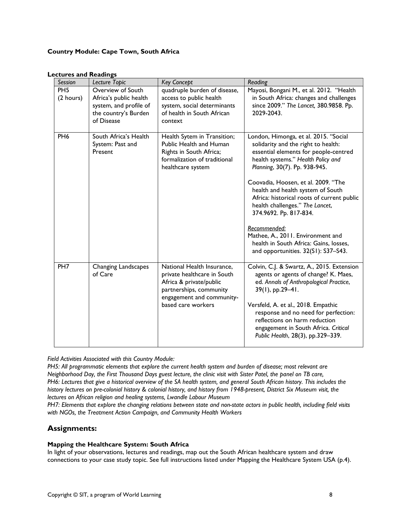# **Country Module: Cape Town, South Africa**

| Session                      | Lecture Topic                                                                                               | <b>Key Concept</b>                                                                                                                                                 | Reading                                                                                                                                                                                                                                                                                                                                                                                                                                                                                                                   |
|------------------------------|-------------------------------------------------------------------------------------------------------------|--------------------------------------------------------------------------------------------------------------------------------------------------------------------|---------------------------------------------------------------------------------------------------------------------------------------------------------------------------------------------------------------------------------------------------------------------------------------------------------------------------------------------------------------------------------------------------------------------------------------------------------------------------------------------------------------------------|
| PH <sub>5</sub><br>(2 hours) | Overview of South<br>Africa's public health<br>system, and profile of<br>the country's Burden<br>of Disease | quadruple burden of disease,<br>access to public health<br>system, social determinants<br>of health in South African<br>context                                    | Mayosi, Bongani M., et al. 2012. "Health<br>in South Africa: changes and challenges<br>since 2009." The Lancet, 380.9858. Pp.<br>2029-2043.                                                                                                                                                                                                                                                                                                                                                                               |
| PH <sub>6</sub>              | South Africa's Health<br>System: Past and<br>Present                                                        | Health Sytem in Transition;<br>Public Health and Human<br>Rights in South Africa;<br>formalization of traditional<br>healthcare system                             | London, Himonga, et al. 2015. "Social<br>solidarity and the right to health:<br>essential elements for people-centred<br>health systems." Health Policy and<br>Planning, 30(7). Pp. 938-945.<br>Coovadia, Hoosen, et al. 2009. "The<br>health and health system of South<br>Africa: historical roots of current public<br>health challenges." The Lancet,<br>374.9692. Pp. 817-834.<br>Recommended:<br>Mathee, A., 2011. Environment and<br>health in South Africa: Gains, losses,<br>and opportunities. 32(S1): S37-S43. |
| PH <sub>7</sub>              | Changing Landscapes<br>of Care                                                                              | National Health Insurance,<br>private healthcare in South<br>Africa & private/public<br>partnerships, community<br>engagement and community-<br>based care workers | Colvin, C.J. & Swartz, A., 2015. Extension<br>agents or agents of change? K. Maes,<br>ed. Annals of Anthropological Practice,<br>$39(1)$ , pp.29-41.<br>Versfeld, A. et al., 2018. Empathic<br>response and no need for perfection:<br>reflections on harm reduction<br>engagement in South Africa. Critical<br>Public Health, 28(3), pp.329-339.                                                                                                                                                                         |

#### **Lectures and Readings**

*Field Activities Associated with this Country Module:* 

*PH5: All programmatic elements that explore the current health system and burden of disease; most relevant are Neighborhood Day, the First Thousand Days guest lecture, the clinic visit with Sister Patel, the panel on TB care, PH6: Lectures that give a historical overview of the SA health system, and general South African history. This includes the history lectures on pre-colonial history & colonial history, and history from 1948-present, District Six Museum visit, the lectures on African religion and healing systems, Lwandle Labour Museum*

*PH7: Elements that explore the changing relations between state and non-state actors in public health, including field visits with NGOs, the Treatment Action Campaign, and Community Health Workers* 

# **Assignments:**

## **Mapping the Healthcare System: South Africa**

In light of your observations, lectures and readings, map out the South African healthcare system and draw connections to your case study topic. See full instructions listed under Mapping the Healthcare System USA (p.4).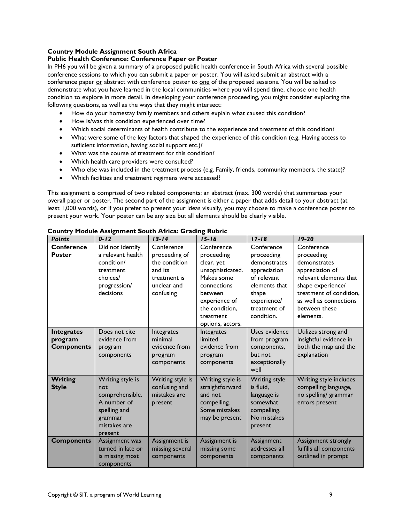# **Country Module Assignment South Africa**

## **Public Health Conference: Conference Paper or Poster**

In PH6 you will be given a summary of a proposed public health conference in South Africa with several possible conference sessions to which you can submit a paper or poster. You will asked submit an abstract with a conference paper or abstract with conference poster to one of the proposed sessions. You will be asked to demonstrate what you have learned in the local communities where you will spend time, choose one health condition to explore in more detail. In developing your conference proceeding, you might consider exploring the following questions, as well as the ways that they might intersect:

- How do your homestay family members and others explain what caused this condition?
- How is/was this condition experienced over time?
- Which social determinants of health contribute to the experience and treatment of this condition?
- What were some of the key factors that shaped the experience of this condition (e.g. Having access to sufficient information, having social support etc.)?
- What was the course of treatment for this condition?
- Which health care providers were consulted?
- Who else was included in the treatment process (e.g. Family, friends, community members, the state)?
- Which facilities and treatment regimens were accessed?

This assignment is comprised of two related components: an abstract (max. 300 words) that summarizes your overall paper or poster. The second part of the assignment is either a paper that adds detail to your abstract (at least 1,000 words), or if you prefer to present your ideas visually, you may choose to make a conference poster to present your work. Your poster can be any size but all elements should be clearly visible.

| <b>Points</b>                                     | $0 - 12$                                                                                                        | $13 - 14$                                                                             | $15 - 16$                                                                                                                                                | $17 - 18$                                                                                                                        | $19 - 20$                                                                                                                                                                       |
|---------------------------------------------------|-----------------------------------------------------------------------------------------------------------------|---------------------------------------------------------------------------------------|----------------------------------------------------------------------------------------------------------------------------------------------------------|----------------------------------------------------------------------------------------------------------------------------------|---------------------------------------------------------------------------------------------------------------------------------------------------------------------------------|
| <b>Conference</b>                                 | Did not identify                                                                                                | Conference                                                                            | Conference                                                                                                                                               | Conference                                                                                                                       | Conference                                                                                                                                                                      |
| <b>Poster</b>                                     | a relevant health<br>condition/<br>treatment<br>choices/<br>progression/<br>decisions                           | proceeding of<br>the condition<br>and its<br>treatment is<br>unclear and<br>confusing | proceeding<br>clear, yet<br>unsophisticated.<br>Makes some<br>connections<br>between<br>experience of<br>the condition,<br>treatment<br>options, actors. | proceeding<br>demonstrates<br>appreciation<br>of relevant<br>elements that<br>shape<br>experience/<br>treatment of<br>condition. | proceeding<br>demonstrates<br>appreciation of<br>relevant elements that<br>shape experience/<br>treatment of condition.<br>as well as connections<br>between these<br>elements. |
| <b>Integrates</b><br>program<br><b>Components</b> | Does not cite<br>evidence from<br>program<br>components                                                         | Integrates<br>minimal<br>evidence from<br>program<br>components                       | Integrates<br>limited<br>evidence from<br>program<br>components                                                                                          | Uses evidence<br>from program<br>components,<br>but not<br>exceptionally<br>well                                                 | Utilizes strong and<br>insightful evidence in<br>both the map and the<br>explanation                                                                                            |
| <b>Writing</b><br><b>Style</b>                    | Writing style is<br>not<br>comprehensible.<br>A number of<br>spelling and<br>grammar<br>mistakes are<br>present | Writing style is<br>confusing and<br>mistakes are<br>present                          | Writing style is<br>straightforward<br>and not<br>compelling.<br>Some mistakes<br>may be present                                                         | <b>Writing style</b><br>is fluid,<br>language is<br>somewhat<br>compelling.<br>No mistakes<br>present                            | Writing style includes<br>compelling language,<br>no spelling/ grammar<br>errors present                                                                                        |
| <b>Components</b>                                 | Assignment was<br>turned in late or<br>is missing most<br>components                                            | Assignment is<br>missing several<br>components                                        | Assignment is<br>missing some<br>components                                                                                                              | Assignment<br>addresses all<br>components                                                                                        | Assignment strongly<br>fulfills all components<br>outlined in prompt                                                                                                            |

**Country Module Assignment South Africa: Grading Rubric**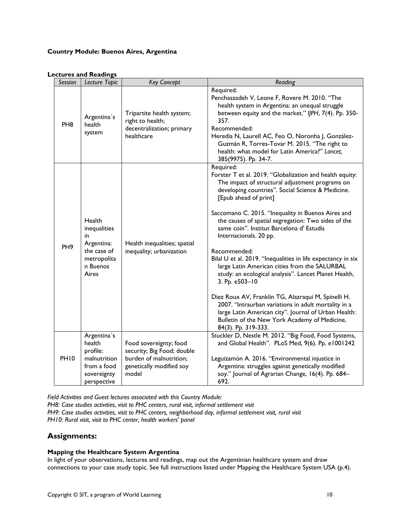# **Country Module: Buenos Aires, Argentina**

# **Lectures and Readings**

| Session         | Lecture Topic                                                                                  | <b>Key Concept</b>                                                                                                   | Reading                                                                                                                                                                                                                                                                                                                                                                                                                                                                                                                                                                                                                                                                                                                                                                                                                                               |
|-----------------|------------------------------------------------------------------------------------------------|----------------------------------------------------------------------------------------------------------------------|-------------------------------------------------------------------------------------------------------------------------------------------------------------------------------------------------------------------------------------------------------------------------------------------------------------------------------------------------------------------------------------------------------------------------------------------------------------------------------------------------------------------------------------------------------------------------------------------------------------------------------------------------------------------------------------------------------------------------------------------------------------------------------------------------------------------------------------------------------|
| PH <sub>8</sub> | Argentina's<br>health<br>system                                                                | Tripartite health system;<br>right to health;<br>decentralization; primary<br>healthcare                             | Required:<br>Penchaszadeh V, Leone F, Rovere M. 2010. "The<br>health system in Argentina: an unequal struggle<br>between equity and the market." IJPH, 7(4). Pp. 350-<br>357.<br>Recommended:<br>Heredia N, Laurell AC, Feo O, Noronha J, González-<br>Guzmán R, Torres-Tovar M. 2015. "The right to<br>health: what model for Latin America?" Lancet,<br>385(9975). Pp. 34-7.                                                                                                                                                                                                                                                                                                                                                                                                                                                                        |
| PH <sub>9</sub> | Health<br>inequalities<br>in<br>Argentina:<br>the case of<br>metropolita<br>n Buenos<br>Aires  | Health inequalities; spatial<br>inequality; urbanization                                                             | Required:<br>Forster T et al. 2019. "Globalization and health equity:<br>The impact of structural adjustment programs on<br>developing countries". Social Science & Medicine.<br>[Epub ahead of print]<br>Saccomano C. 2015. "Inequality in Buenos Aires and<br>the causes of spatial segregation: Two sides of the<br>same coin". Institut Barcelona d' Estudis<br>Internacionals. 20 pp.<br>Recommended:<br>Bilal U et al. 2019. "Inequalities in life expectancy in six<br>large Latin American cities from the SALURBAL<br>study: an ecological analysis". Lancet Planet Health,<br>3. Pp. e503-10<br>Diez Roux AV, Franklin TG, Alazraqui M, Spinelli H.<br>2007. "Intraurban variations in adult mortality in a<br>large Latin American city". Journal of Urban Health:<br>Bulletin of the New York Academy of Medicine,<br>84(3). Pp. 319-333. |
| <b>PH10</b>     | Argentina's<br>health<br>profile:<br>malnutrition<br>from a food<br>sovereignty<br>perspective | Food sovereignty; food<br>security; Big Food; double<br>burden of malnutrition;<br>genetically modified soy<br>model | Stuckler D, Nestle M. 2012. "Big Food, Food Systems,<br>and Global Health". PLoS Med, 9(6). Pp. e1001242<br>Leguizamón A. 2016. "Environmental injustice in<br>Argentina: struggles against genetically modified<br>soy." Journal of Agrarian Change, 16(4). Pp. 684-<br>692.                                                                                                                                                                                                                                                                                                                                                                                                                                                                                                                                                                         |

*Field Activities and Guest lectures associated with this Country Module:* 

*PH8: Case studies activities, visit to PHC centers, rural visit, informal settlement visit PH9: Case studies activities, visit to PHC centers, neighborhood day, informal settlement visit, rural visit PH10: Rural visit, visit to PHC center, health workers' panel*

# **Assignments:**

## **Mapping the Healthcare System Argentina**

In light of your observations, lectures and readings, map out the Argentinian healthcare system and draw connections to your case study topic. See full instructions listed under Mapping the Healthcare System USA (p.4).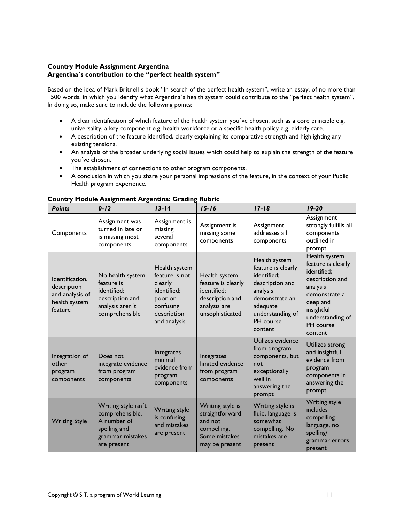# **Country Module Assignment Argentina Argentina´s contribution to the "perfect health system"**

Based on the idea of Mark Britnell´s book "In search of the perfect health system", write an essay, of no more than 1500 words, in which you identify what Argentina´s health system could contribute to the "perfect health system". In doing so, make sure to include the following points:

- A clear identification of which feature of the health system you´ve chosen, such as a core principle e.g. universality, a key component e.g. health workforce or a specific health policy e.g. elderly care.
- A description of the feature identified, clearly explaining its comparative strength and highlighting any existing tensions.
- An analysis of the broader underlying social issues which could help to explain the strength of the feature you´ve chosen.
- The establishment of connections to other program components.
- A conclusion in which you share your personal impressions of the feature, in the context of your Public Health program experience.

| <b>Points</b>                                                                 | $0 - 12$                                                                                                 | $13 - 14$                                                                                                        | $15 - 16$                                                                                                | $17 - 18$                                                                                                                                                   | $19 - 20$                                                                                                                                                                |
|-------------------------------------------------------------------------------|----------------------------------------------------------------------------------------------------------|------------------------------------------------------------------------------------------------------------------|----------------------------------------------------------------------------------------------------------|-------------------------------------------------------------------------------------------------------------------------------------------------------------|--------------------------------------------------------------------------------------------------------------------------------------------------------------------------|
| Components                                                                    | Assignment was<br>turned in late or<br>is missing most<br>components                                     | Assignment is<br>missing<br>several<br>components                                                                | Assignment is<br>missing some<br>components                                                              | Assignment<br>addresses all<br>components                                                                                                                   | Assignment<br>strongly fulfills all<br>components<br>outlined in<br>prompt                                                                                               |
| Identification,<br>description<br>and analysis of<br>health system<br>feature | No health system<br>feature is<br>identified;<br>description and<br>analysis aren't<br>comprehensible    | Health system<br>feature is not<br>clearly<br>identified;<br>poor or<br>confusing<br>description<br>and analysis | Health system<br>feature is clearly<br>identified;<br>description and<br>analysis are<br>unsophisticated | Health system<br>feature is clearly<br>identified;<br>description and<br>analysis<br>demonstrate an<br>adequate<br>understanding of<br>PH course<br>content | Health system<br>feature is clearly<br>identified;<br>description and<br>analysis<br>demonstrate a<br>deep and<br>insightful<br>understanding of<br>PH course<br>content |
| Integration of<br>other<br>program<br>components                              | Does not<br>integrate evidence<br>from program<br>components                                             | Integrates<br>minimal<br>evidence from<br>program<br>components                                                  | Integrates<br>limited evidence<br>from program<br>components                                             | Utilizes evidence<br>from program<br>components, but<br>not<br>exceptionally<br>well in<br>answering the<br>prompt                                          | Utilizes strong<br>and insightful<br>evidence from<br>program<br>components in<br>answering the<br>prompt                                                                |
| <b>Writing Style</b>                                                          | Writing style isn't<br>comprehensible.<br>A number of<br>spelling and<br>grammar mistakes<br>are present | <b>Writing style</b><br>is confusing<br>and mistakes<br>are present                                              | Writing style is<br>straightforward<br>and not<br>compelling.<br>Some mistakes<br>may be present         | Writing style is<br>fluid, language is<br>somewhat<br>compelling. No<br>mistakes are<br>present                                                             | <b>Writing style</b><br>includes<br>compelling<br>language, no<br>spelling/<br>grammar errors<br>present                                                                 |

# **Country Module Assignment Argentina: Grading Rubric**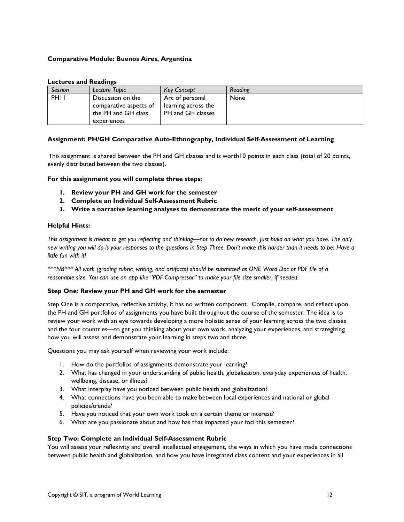## **Comparative Module: Buenos Aires, Argentina**

#### **Lectures and Readings**

| <b>Session</b> | Lecture Topic                               | <b>Key Concept</b>                     | Reading |
|----------------|---------------------------------------------|----------------------------------------|---------|
| <b>PHII</b>    | Discussion on the<br>comparative aspects of | Arc of personal<br>learning across the | None    |
|                | the PH and GH class<br>experiences          | PH and GH classes                      |         |

## **Assignment: PH/GH Comparative Auto-Ethnography, Individual Self-Assessment of Learning**

This assignment is shared between the PH and GH classes and is worth10 points in each class (total of 20 points, evenly distributed between the two classes).

**For this assignment you will complete three steps:**

- **1. Review your PH and GH work for the semester**
- **2. Complete an Individual Self-Assessment Rubric**
- **3. Write a narrative learning analyses to demonstrate the merit of your self-assessment**

## **Helpful Hints:**

*This assignment is meant to get you reflecting and thinking—not to do new research. Just build on what you have. The only new writing you will do is your responses to the questions in Step Three. Don't make this harder than it needs to be! Have a little fun with it!*

*\*\*\*NB\*\*\* All work (grading rubric, writing, and artifacts) should be submitted as ONE Word Doc or PDF file of a reasonable size. You can use an app like "PDF Compressor" to make your file size smaller, if needed.*

## **Step One: Review your PH and GH work for the semester**

Step One is a comparative, reflective activity, it has no written component. Compile, compare, and reflect upon the PH and GH portfolios of assignments you have built throughout the course of the semester. The idea is to review your work with an eye towards developing a more holistic sense of your learning across the two classes and the four countries—to get you thinking about your own work, analyzing your experiences, and strategizing how you will assess and demonstrate your learning in steps two and three.

Questions you may ask yourself when reviewing your work include:

- 1. How do the portfolios of assignments demonstrate your learning?
- 2. What has changed in your understanding of public health, globalization, everyday experiences of health, wellbeing, disease, or illness?
- 3. What interplay have you noticed between public health and globalization?
- 4. What connections have you been able to make between local experiences and national or global policies/trends?
- 5. Have you noticed that your own work took on a certain theme or interest?
- 6. What are you passionate about and how has that impacted your foci this semester?

## **Step Two: Complete an Individual Self-Assessment Rubric**

You will assess your reflexivity and overall intellectual engagement, the ways in which you have made connections between public health and globalization, and how you have integrated class content and your experiences in all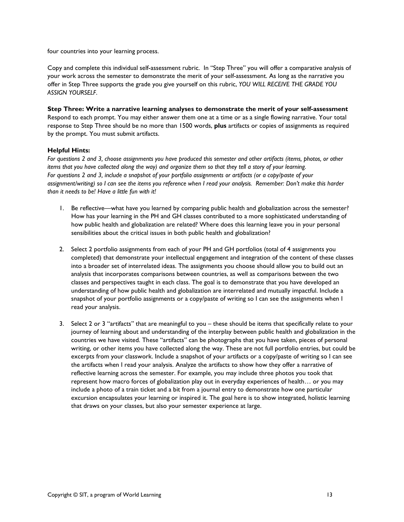four countries into your learning process.

Copy and complete this individual self-assessment rubric. In "Step Three" you will offer a comparative analysis of your work across the semester to demonstrate the merit of your self-assessment. As long as the narrative you offer in Step Three supports the grade you give yourself on this rubric, *YOU WILL RECEIVE THE GRADE YOU ASSIGN YOURSELF*.

# **Step Three: Write a narrative learning analyses to demonstrate the merit of your self-assessment**

Respond to each prompt. You may either answer them one at a time or as a single flowing narrative. Your total response to Step Three should be no more than 1500 words, **plus** artifacts or copies of assignments as required by the prompt. You must submit artifacts.

## **Helpful Hints:**

*For questions 2 and 3, choose assignments you have produced this semester and other artifacts (items, photos, or other items that you have collected along the way) and organize them so that they tell a story of your learning. For questions 2 and 3, include a snapshot of your portfolio assignments or artifacts (or a copy/paste of your assignment/writing) so I can see the items you reference when I read your analysis. Remember: Don't make this harder than it needs to be! Have a little fun with it!*

- 1. Be reflective—what have you learned by comparing public health and globalization across the semester? How has your learning in the PH and GH classes contributed to a more sophisticated understanding of how public health and globalization are related? Where does this learning leave you in your personal sensibilities about the critical issues in both public health and globalization?
- 2. Select 2 portfolio assignments from each of your PH and GH portfolios (total of 4 assignments you completed) that demonstrate your intellectual engagement and integration of the content of these classes into a broader set of interrelated ideas. The assignments you choose should allow you to build out an analysis that incorporates comparisons between countries, as well as comparisons between the two classes and perspectives taught in each class. The goal is to demonstrate that you have developed an understanding of how public health and globalization are interrelated and mutually impactful. Include a snapshot of your portfolio assignments or a copy/paste of writing so I can see the assignments when I read your analysis.
- 3. Select 2 or 3 "artifacts" that are meaningful to you these should be items that specifically relate to your journey of learning about and understanding of the interplay between public health and globalization in the countries we have visited. These "artifacts" can be photographs that you have taken, pieces of personal writing, or other items you have collected along the way. These are not full portfolio entries, but could be excerpts from your classwork. Include a snapshot of your artifacts or a copy/paste of writing so I can see the artifacts when I read your analysis. Analyze the artifacts to show how they offer a narrative of reflective learning across the semester. For example, you may include three photos you took that represent how macro forces of globalization play out in everyday experiences of health… or you may include a photo of a train ticket and a bit from a journal entry to demonstrate how one particular excursion encapsulates your learning or inspired it. The goal here is to show integrated, holistic learning that draws on your classes, but also your semester experience at large.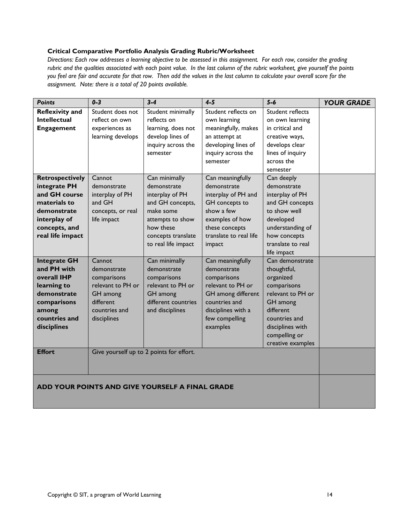# **Critical Comparative Portfolio Analysis Grading Rubric/Worksheet**

*Directions: Each row addresses a learning objective to be assessed in this assignment. For each row, consider the grading rubric and the qualities associated with each point value. In the last column of the rubric worksheet, give yourself the points you feel are fair and accurate for that row. Then add the values in the last column to calculate your overall score for the assignment. Note: there is a total of 20 points available.* 

| <b>Points</b>                                                                                                                               | $0 - 3$                                                                                                            | $3 - 4$                                                                                                                                                        | $4 - 5$                                                                                                                                                         | $5-6$                                                                                                                                                                               | <b>YOUR GRADE</b> |
|---------------------------------------------------------------------------------------------------------------------------------------------|--------------------------------------------------------------------------------------------------------------------|----------------------------------------------------------------------------------------------------------------------------------------------------------------|-----------------------------------------------------------------------------------------------------------------------------------------------------------------|-------------------------------------------------------------------------------------------------------------------------------------------------------------------------------------|-------------------|
| <b>Reflexivity and</b><br>Intellectual<br><b>Engagement</b>                                                                                 | Student does not<br>reflect on own<br>experiences as<br>learning develops                                          | Student minimally<br>reflects on<br>learning, does not<br>develop lines of<br>inquiry across the<br>semester                                                   | Student reflects on<br>own learning<br>meaningfully, makes<br>an attempt at<br>developing lines of<br>inquiry across the<br>semester                            | Student reflects<br>on own learning<br>in critical and<br>creative ways,<br>develops clear<br>lines of inquiry<br>across the<br>semester                                            |                   |
| <b>Retrospectively</b><br>integrate PH<br>and GH course<br>materials to<br>demonstrate<br>interplay of<br>concepts, and<br>real life impact | Cannot<br>demonstrate<br>interplay of PH<br>and GH<br>concepts, or real<br>life impact                             | Can minimally<br>demonstrate<br>interplay of PH<br>and GH concepts,<br>make some<br>attempts to show<br>how these<br>concepts translate<br>to real life impact | Can meaningfully<br>demonstrate<br>interplay of PH and<br>GH concepts to<br>show a few<br>examples of how<br>these concepts<br>translate to real life<br>impact | Can deeply<br>demonstrate<br>interplay of PH<br>and GH concepts<br>to show well<br>developed<br>understanding of<br>how concepts<br>translate to real<br>life impact                |                   |
| <b>Integrate GH</b><br>and PH with<br>overall IHP<br>learning to<br>demonstrate<br>comparisons<br>among<br>countries and<br>disciplines     | Cannot<br>demonstrate<br>comparisons<br>relevant to PH or<br>GH among<br>different<br>countries and<br>disciplines | Can minimally<br>demonstrate<br>comparisons<br>relevant to PH or<br>GH among<br>different countries<br>and disciplines                                         | Can meaningfully<br>demonstrate<br>comparisons<br>relevant to PH or<br>GH among different<br>countries and<br>disciplines with a<br>few compelling<br>examples  | Can demonstrate<br>thoughtful,<br>organized<br>comparisons<br>relevant to PH or<br>GH among<br>different<br>countries and<br>disciplines with<br>compelling or<br>creative examples |                   |
| <b>Effort</b>                                                                                                                               |                                                                                                                    | Give yourself up to 2 points for effort.                                                                                                                       |                                                                                                                                                                 |                                                                                                                                                                                     |                   |
| ADD YOUR POINTS AND GIVE YOURSELF A FINAL GRADE                                                                                             |                                                                                                                    |                                                                                                                                                                |                                                                                                                                                                 |                                                                                                                                                                                     |                   |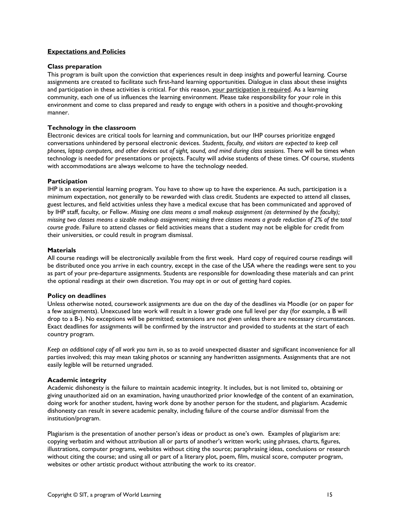## **Expectations and Policies**

#### **Class preparation**

This program is built upon the conviction that experiences result in deep insights and powerful learning. Course assignments are created to facilitate such first-hand learning opportunities. Dialogue in class about these insights and participation in these activities is critical. For this reason, your participation is required. As a learning community, each one of us influences the learning environment. Please take responsibility for your role in this environment and come to class prepared and ready to engage with others in a positive and thought-provoking manner.

#### **Technology in the classroom**

Electronic devices are critical tools for learning and communication, but our IHP courses prioritize engaged conversations unhindered by personal electronic devices. *Students, faculty, and visitors are expected to keep cell phones, laptop computers, and other devices out of sight, sound, and mind during class sessions*. There will be times when technology is needed for presentations or projects. Faculty will advise students of these times. Of course, students with accommodations are always welcome to have the technology needed.

#### **Participation**

IHP is an experiential learning program. You have to show up to have the experience. As such, participation is a minimum expectation, not generally to be rewarded with class credit. Students are expected to attend all classes, guest lectures, and field activities unless they have a medical excuse that has been communicated and approved of by IHP staff, faculty, or Fellow. *Missing one class means a small makeup assignment (as determined by the faculty); missing two classes means a sizable makeup assignment; missing three classes means a grade reduction of 2% of the total course grade*. Failure to attend classes or field activities means that a student may not be eligible for credit from their universities, or could result in program dismissal.

#### **Materials**

All course readings will be electronically available from the first week. Hard copy of required course readings will be distributed once you arrive in each country, except in the case of the USA where the readings were sent to you as part of your pre-departure assignments. Students are responsible for downloading these materials and can print the optional readings at their own discretion. You may opt in or out of getting hard copies.

#### **Policy on deadlines**

Unless otherwise noted, coursework assignments are due on the day of the deadlines via Moodle (or on paper for a few assignments). Unexcused late work will result in a lower grade one full level per day (for example, a B will drop to a B-). No exceptions will be permitted; extensions are not given unless there are necessary circumstances. Exact deadlines for assignments will be confirmed by the instructor and provided to students at the start of each country program.

*Keep an additional copy of all work you turn in*, so as to avoid unexpected disaster and significant inconvenience for all parties involved; this may mean taking photos or scanning any handwritten assignments. Assignments that are not easily legible will be returned ungraded.

#### **Academic integrity**

Academic dishonesty is the failure to maintain academic integrity. It includes, but is not limited to, obtaining or giving unauthorized aid on an examination, having unauthorized prior knowledge of the content of an examination, doing work for another student, having work done by another person for the student, and plagiarism. Academic dishonesty can result in severe academic penalty, including failure of the course and/or dismissal from the institution/program.

Plagiarism is the presentation of another person's ideas or product as one's own. Examples of plagiarism are: copying verbatim and without attribution all or parts of another's written work; using phrases, charts, figures, illustrations, computer programs, websites without citing the source; paraphrasing ideas, conclusions or research without citing the course; and using all or part of a literary plot, poem, film, musical score, computer program, websites or other artistic product without attributing the work to its creator.